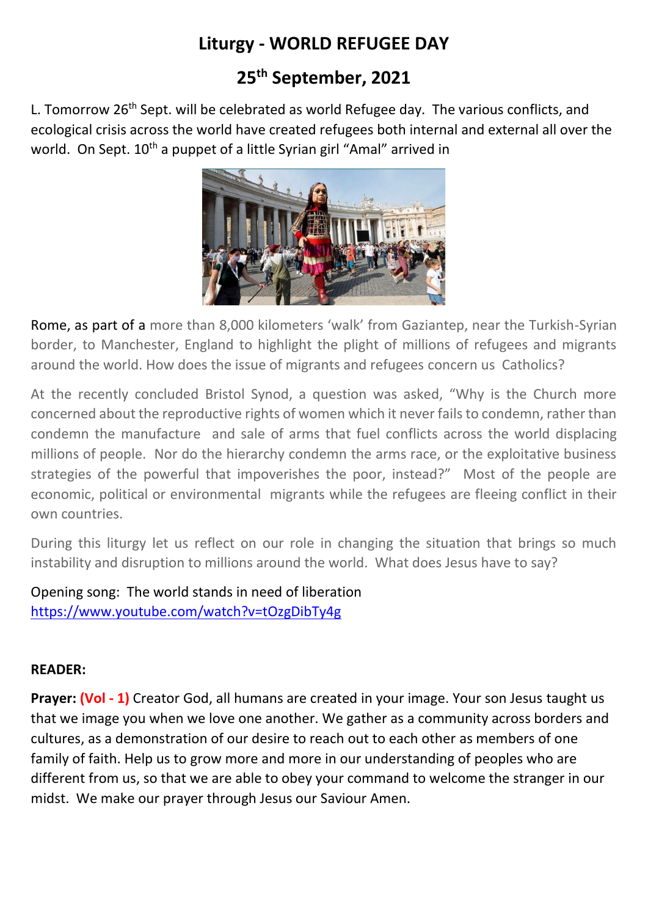# **Liturgy - WORLD REFUGEE DAY**

# **25th September, 2021**

L. Tomorrow  $26<sup>th</sup>$  Sept. will be celebrated as world Refugee day. The various conflicts, and ecological crisis across the world have created refugees both internal and external all over the world. On Sept. 10<sup>th</sup> a puppet of a little Syrian girl "Amal" arrived in



Rome, as part of a more than 8,000 kilometers 'walk' from Gaziantep, near the Turkish-Syrian border, to Manchester, England to highlight the plight of millions of refugees and migrants around the world. How does the issue of migrants and refugees concern us Catholics?

At the recently concluded Bristol Synod, a question was asked, "Why is the Church more concerned about the reproductive rights of women which it never fails to condemn, rather than condemn the manufacture and sale of arms that fuel conflicts across the world displacing millions of people. Nor do the hierarchy condemn the arms race, or the exploitative business strategies of the powerful that impoverishes the poor, instead?" Most of the people are economic, political or environmental migrants while the refugees are fleeing conflict in their own countries.

During this liturgy let us reflect on our role in changing the situation that brings so much instability and disruption to millions around the world. What does Jesus have to say?

Opening song: The world stands in need of liberation <https://www.youtube.com/watch?v=tOzgDibTy4g>

# **READER:**

**Prayer: (Vol - 1)** Creator God, all humans are created in your image. Your son Jesus taught us that we image you when we love one another. We gather as a community across borders and cultures, as a demonstration of our desire to reach out to each other as members of one family of faith. Help us to grow more and more in our understanding of peoples who are different from us, so that we are able to obey your command to welcome the stranger in our midst. We make our prayer through Jesus our Saviour Amen.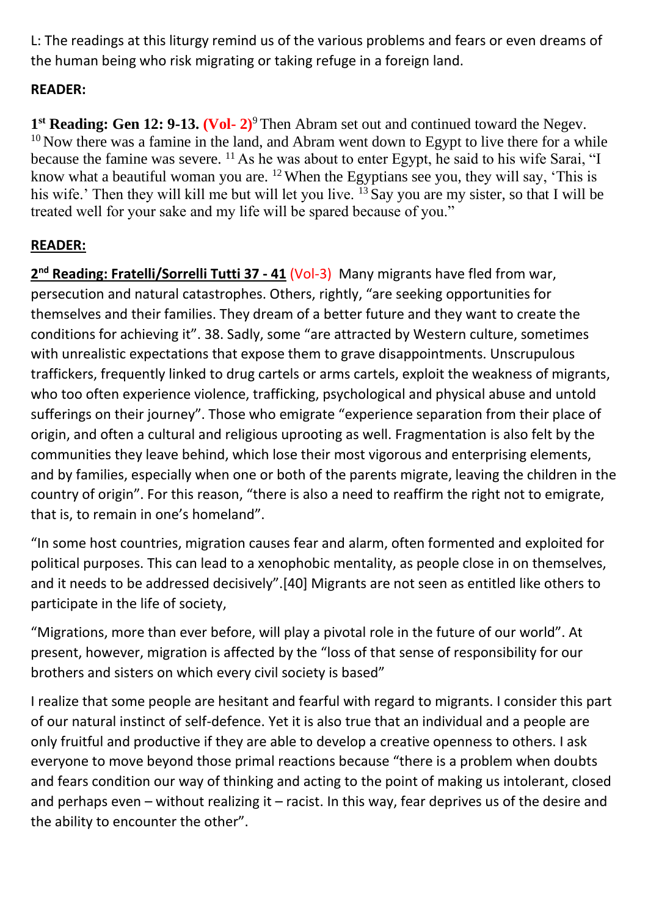L: The readings at this liturgy remind us of the various problems and fears or even dreams of the human being who risk migrating or taking refuge in a foreign land.

# **READER:**

1<sup>st</sup> Reading: Gen 12: 9-13. (Vol- 2)<sup>9</sup> Then Abram set out and continued toward the Negev.  $10$  Now there was a famine in the land, and Abram went down to Egypt to live there for a while because the famine was severe. <sup>11</sup> As he was about to enter Egypt, he said to his wife Sarai, "I know what a beautiful woman you are.  $12$  When the Egyptians see you, they will say, 'This is his wife.' Then they will kill me but will let you live. <sup>13</sup> Say you are my sister, so that I will be treated well for your sake and my life will be spared because of you."

# **READER:**

**2 nd Reading: Fratelli/Sorrelli Tutti 37 - 41** (Vol-3) Many migrants have fled from war, persecution and natural catastrophes. Others, rightly, "are seeking opportunities for themselves and their families. They dream of a better future and they want to create the conditions for achieving it". 38. Sadly, some "are attracted by Western culture, sometimes with unrealistic expectations that expose them to grave disappointments. Unscrupulous traffickers, frequently linked to drug cartels or arms cartels, exploit the weakness of migrants, who too often experience violence, trafficking, psychological and physical abuse and untold sufferings on their journey". Those who emigrate "experience separation from their place of origin, and often a cultural and religious uprooting as well. Fragmentation is also felt by the communities they leave behind, which lose their most vigorous and enterprising elements, and by families, especially when one or both of the parents migrate, leaving the children in the country of origin". For this reason, "there is also a need to reaffirm the right not to emigrate, that is, to remain in one's homeland".

"In some host countries, migration causes fear and alarm, often formented and exploited for political purposes. This can lead to a xenophobic mentality, as people close in on themselves, and it needs to be addressed decisively".[40] Migrants are not seen as entitled like others to participate in the life of society,

"Migrations, more than ever before, will play a pivotal role in the future of our world". At present, however, migration is affected by the "loss of that sense of responsibility for our brothers and sisters on which every civil society is based"

I realize that some people are hesitant and fearful with regard to migrants. I consider this part of our natural instinct of self-defence. Yet it is also true that an individual and a people are only fruitful and productive if they are able to develop a creative openness to others. I ask everyone to move beyond those primal reactions because "there is a problem when doubts and fears condition our way of thinking and acting to the point of making us intolerant, closed and perhaps even – without realizing it – racist. In this way, fear deprives us of the desire and the ability to encounter the other".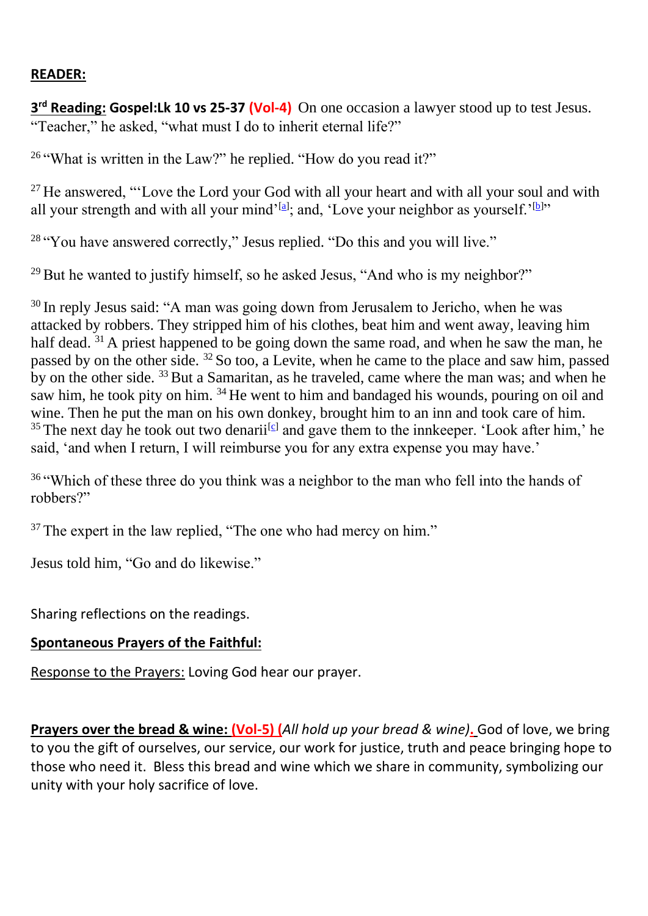#### **READER:**

**3 rd Reading: Gospel:Lk 10 vs 25-37 (Vol-4)** On one occasion a lawyer stood up to test Jesus. "Teacher," he asked, "what must I do to inherit eternal life?"

<sup>26</sup> "What is written in the Law?" he replied. "How do you read it?"

 $27$  He answered, "'Love the Lord your God with all your heart and with all your soul and with all your strength and with all your mind'<sup>[\[a\]](https://www.biblegateway.com/passage/?search=Luke%2010%3A25-37&version=NIV#fen-NIV-25391a)</sup>; and, 'Love your neighbor as yourself.'<sup>[\[b\]](https://www.biblegateway.com/passage/?search=Luke%2010%3A25-37&version=NIV#fen-NIV-25391b)</sup>"

<sup>28</sup> "You have answered correctly," Jesus replied. "Do this and you will live."

 $29$  But he wanted to justify himself, so he asked Jesus, "And who is my neighbor?"

 $30$  In reply Jesus said: "A man was going down from Jerusalem to Jericho, when he was attacked by robbers. They stripped him of his clothes, beat him and went away, leaving him half dead. <sup>31</sup> A priest happened to be going down the same road, and when he saw the man, he passed by on the other side. <sup>32</sup> So too, a Levite, when he came to the place and saw him, passed by on the other side.  $33$  But a Samaritan, as he traveled, came where the man was; and when he saw him, he took pity on him. <sup>34</sup> He went to him and bandaged his wounds, pouring on oil and wine. Then he put the man on his own donkey, brought him to an inn and took care of him. <sup>35</sup> The next day he took out two denarii<sup>c</sup> and gave them to the innkeeper. 'Look after him,' he said, 'and when I return, I will reimburse you for any extra expense you may have.'

<sup>36</sup> "Which of these three do you think was a neighbor to the man who fell into the hands of robbers?"

 $37$  The expert in the law replied, "The one who had mercy on him."

Jesus told him, "Go and do likewise."

Sharing reflections on the readings.

## **Spontaneous Prayers of the Faithful:**

Response to the Prayers: Loving God hear our prayer.

**Prayers over the bread & wine: (Vol-5) (***All hold up your bread & wine)***.** God of love, we bring to you the gift of ourselves, our service, our work for justice, truth and peace bringing hope to those who need it. Bless this bread and wine which we share in community, symbolizing our unity with your holy sacrifice of love.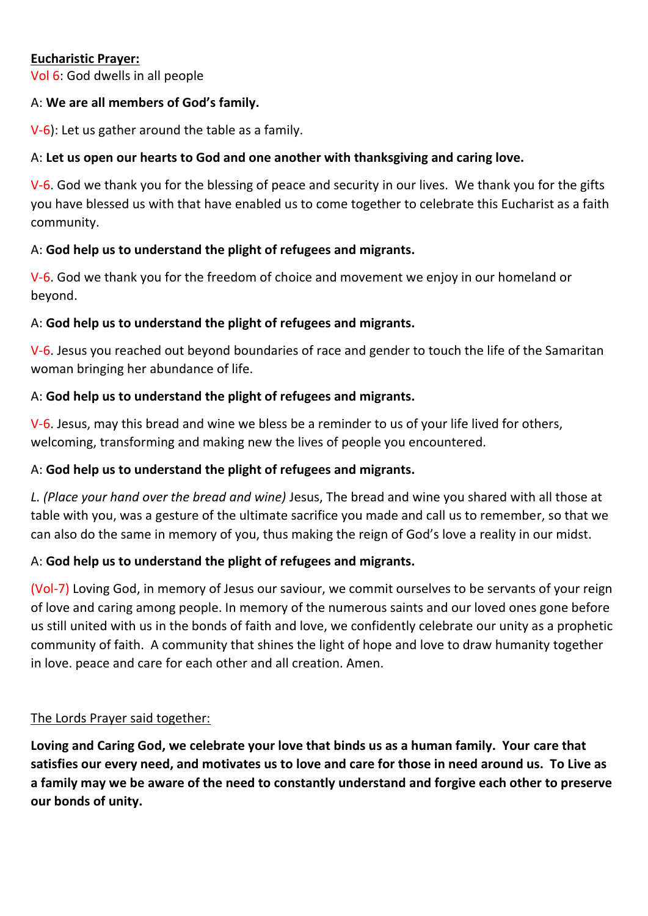#### **Eucharistic Prayer:**

Vol 6: God dwells in all people

#### A: **We are all members of God's family.**

V-6): Let us gather around the table as a family.

#### A: **Let us open our hearts to God and one another with thanksgiving and caring love.**

V-6. God we thank you for the blessing of peace and security in our lives. We thank you for the gifts you have blessed us with that have enabled us to come together to celebrate this Eucharist as a faith community.

#### A: **God help us to understand the plight of refugees and migrants.**

V-6. God we thank you for the freedom of choice and movement we enjoy in our homeland or beyond.

#### A: **God help us to understand the plight of refugees and migrants.**

V-6. Jesus you reached out beyond boundaries of race and gender to touch the life of the Samaritan woman bringing her abundance of life.

## A: **God help us to understand the plight of refugees and migrants.**

V-6. Jesus, may this bread and wine we bless be a reminder to us of your life lived for others, welcoming, transforming and making new the lives of people you encountered.

#### A: **God help us to understand the plight of refugees and migrants.**

*L. (Place your hand over the bread and wine)* Jesus, The bread and wine you shared with all those at table with you, was a gesture of the ultimate sacrifice you made and call us to remember, so that we can also do the same in memory of you, thus making the reign of God's love a reality in our midst.

## A: **God help us to understand the plight of refugees and migrants.**

(Vol-7) Loving God, in memory of Jesus our saviour, we commit ourselves to be servants of your reign of love and caring among people. In memory of the numerous saints and our loved ones gone before us still united with us in the bonds of faith and love, we confidently celebrate our unity as a prophetic community of faith. A community that shines the light of hope and love to draw humanity together in love. peace and care for each other and all creation. Amen.

#### The Lords Prayer said together:

**Loving and Caring God, we celebrate your love that binds us as a human family. Your care that satisfies our every need, and motivates us to love and care for those in need around us. To Live as a family may we be aware of the need to constantly understand and forgive each other to preserve our bonds of unity.**